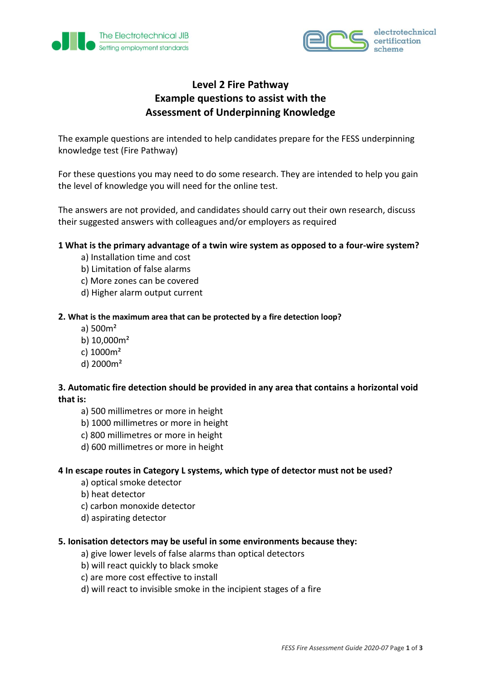



# **Level 2 Fire Pathway Example questions to assist with the Assessment of Underpinning Knowledge**

The example questions are intended to help candidates prepare for the FESS underpinning knowledge test (Fire Pathway)

For these questions you may need to do some research. They are intended to help you gain the level of knowledge you will need for the online test.

The answers are not provided, and candidates should carry out their own research, discuss their suggested answers with colleagues and/or employers as required

#### **1 What is the primary advantage of a twin wire system as opposed to a four-wire system?**

- a) Installation time and cost
- b) Limitation of false alarms
- c) More zones can be covered
- d) Higher alarm output current

#### **2. What is the maximum area that can be protected by a fire detection loop?**

- a) 500m²
- b) 10,000m²
- c) 1000m²
- d) 2000m²

### **3. Automatic fire detection should be provided in any area that contains a horizontal void that is:**

- a) 500 millimetres or more in height
- b) 1000 millimetres or more in height
- c) 800 millimetres or more in height
- d) 600 millimetres or more in height

#### **4 In escape routes in Category L systems, which type of detector must not be used?**

- a) optical smoke detector
- b) heat detector
- c) carbon monoxide detector
- d) aspirating detector

#### **5. Ionisation detectors may be useful in some environments because they:**

- a) give lower levels of false alarms than optical detectors
- b) will react quickly to black smoke
- c) are more cost effective to install
- d) will react to invisible smoke in the incipient stages of a fire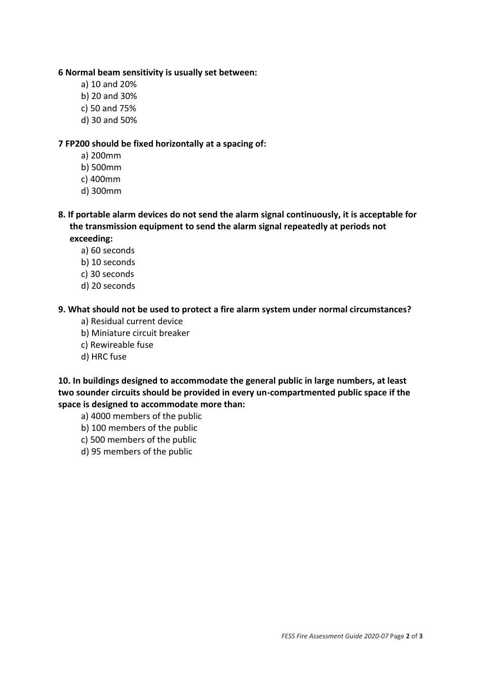#### **6 Normal beam sensitivity is usually set between:**

- a) 10 and 20%
- b) 20 and 30%
- c) 50 and 75%
- d) 30 and 50%

## **7 FP200 should be fixed horizontally at a spacing of:**

- a) 200mm
- b) 500mm
- c) 400mm
- d) 300mm
- **8. If portable alarm devices do not send the alarm signal continuously, it is acceptable for the transmission equipment to send the alarm signal repeatedly at periods not exceeding:**
	- a) 60 seconds
	- b) 10 seconds
	- c) 30 seconds
	- d) 20 seconds

# **9. What should not be used to protect a fire alarm system under normal circumstances?**

- a) Residual current device
- b) Miniature circuit breaker
- c) Rewireable fuse
- d) HRC fuse

**10. In buildings designed to accommodate the general public in large numbers, at least two sounder circuits should be provided in every un-compartmented public space if the space is designed to accommodate more than:**

- a) 4000 members of the public
- b) 100 members of the public
- c) 500 members of the public
- d) 95 members of the public